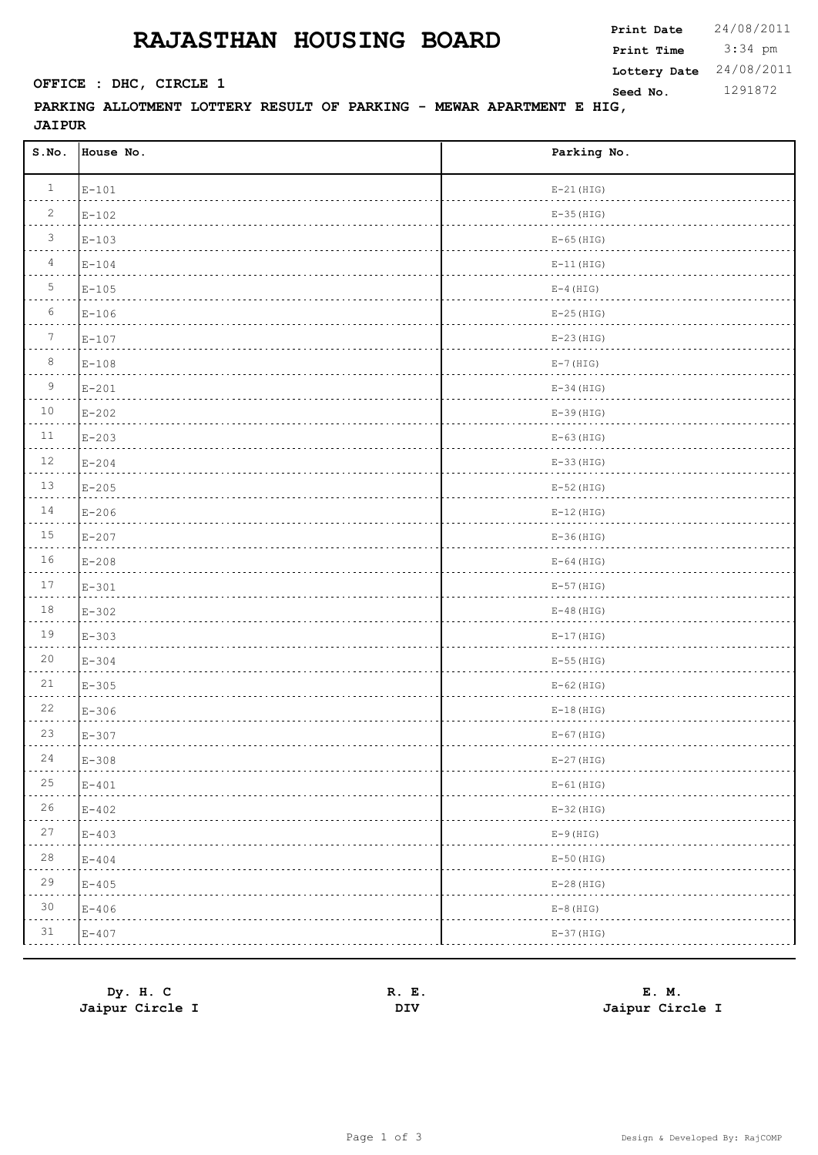## **RAJASTHAN HOUSING BOARD** Print Date

**PARKING ALLOTMENT LOTTERY RESULT OF PARKING - MEWAR APARTMENT E HIG, Seed No.** 1291872

**JAIPUR S.No. House No. Parking No.**  $E-101$  E-101  $2\qquad \text{E}-102$  E-102  $\overline{B}$  E-103 E-103  $E-104$  E-11(HIG)  $5$  E-105 E-105  $E-106$  E-106  $T = 107$  E-107  $8$  E-108 E-108 9 E-201 E-34(HIG)  $10$   $E-202$   $E-39$  (HIG)  $E-203$  E-63(HIG)  $12 \qquad E-204$  E-204  $E-205$  E-205  $14$  E-206 E-12(HIG)  $15$  E-207 E-207  $16$  E-208 E-64 (HIG)  $17$  E-301 E-301

| $1\,8$      | $E-302$   | $E-48$ (HIG) |
|-------------|-----------|--------------|
| 19          | $E - 303$ | $E-17$ (HIG) |
| 20          | $E - 304$ | $E-55$ (HIG) |
| $2\sqrt{1}$ | $E-305$   | $E-62$ (HIG) |
| 22          | $E-306$   | $E-18$ (HIG) |
| 23          | $E-307$   | $E-67$ (HIG) |
| 24          | $E-308$   | $E-27$ (HIG) |
| 25          | $E-401$   | $E-61$ (HIG) |
| 26          | $E - 402$ | $E-32$ (HIG) |
| 27          | $E - 403$ | $E-9$ (HIG)  |
| 28          | $E - 404$ | $E-50$ (HIG) |
| 29          | $E - 405$ | $E-28$ (HIG) |
| 30          | $E-406$   | $E-8$ (HIG)  |
| 31          | $E - 407$ | $E-37$ (HIG) |
|             |           |              |

| Dy. H. C        | R. E. | E. M.           |
|-----------------|-------|-----------------|
| Jaipur Circle I | DIV   | Jaipur Circle I |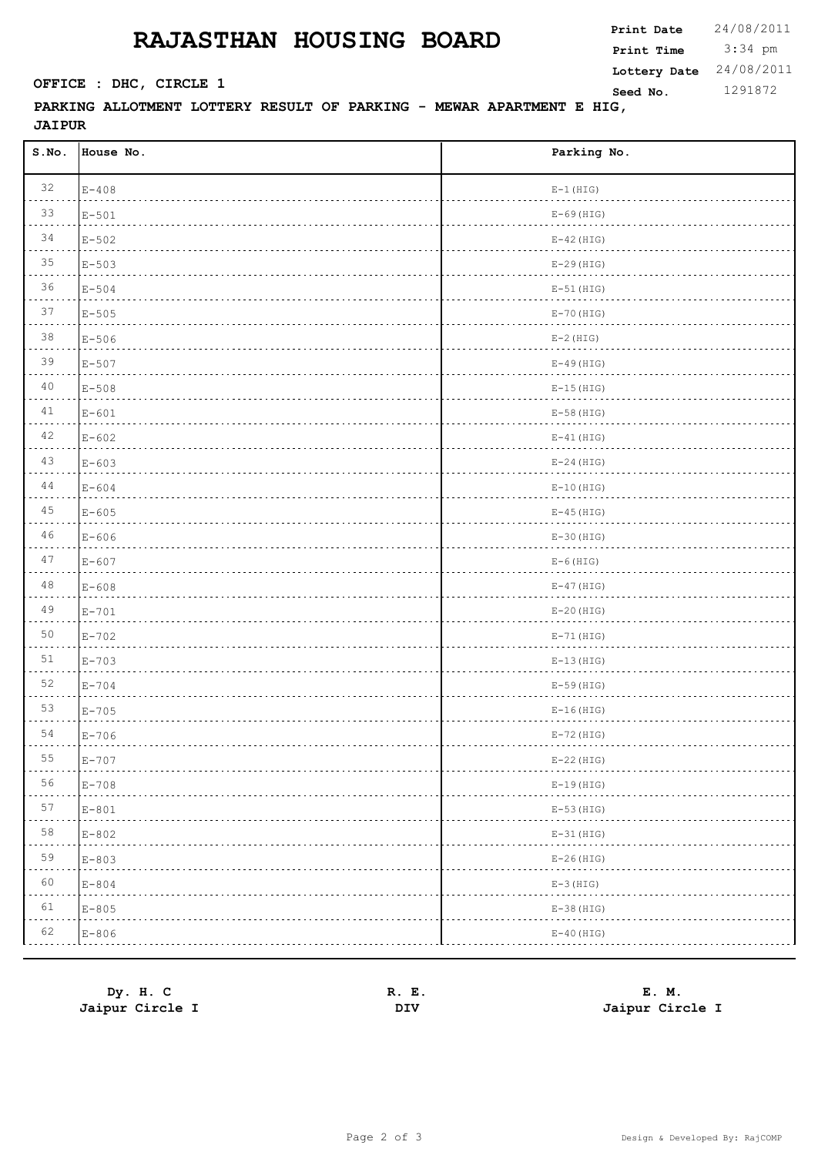## **RAJASTHAN HOUSING BOARD**

 3:34 pm **Print Date**  $24/08/2011$ **Print Time SEPTICE : DHC, CIRCLE 1 Seed No.** 1291872 **Lottery Date** 24/08/2011

## **PARKING ALLOTMENT LOTTERY RESULT OF PARKING - MEWAR APARTMENT E HIG, JAIPUR**

| S.No.   | House No. | Parking No.  |
|---------|-----------|--------------|
| 32      | $E-408$   | $E-1$ (HIG)  |
| 33      | $E-501$   | $E-69$ (HIG) |
| 34      | $E - 502$ | $E-42$ (HIG) |
| 35      | $E-503$   | $E-29$ (HIG) |
| 36      | $E - 504$ | $E-51$ (HIG) |
| 37      | $E - 505$ | $E-70$ (HIG) |
| 38      | $E-506$   | $E-2$ (HIG)  |
| 39      | $E - 507$ | $E-49$ (HIG) |
| 40      | $E - 508$ | $E-15$ (HIG) |
| 41      | $E - 601$ | $E-58$ (HIG) |
| 42      | $E - 602$ | $E-41$ (HIG) |
| 43      | $E - 603$ | $E-24$ (HIG) |
| 44      | $E-604$   | $E-10$ (HIG) |
| 45      | $E - 605$ | $E-45$ (HIG) |
| 46      | $E-606$   | $E-30$ (HIG) |
| 47      | $E - 607$ | $E-6$ (HIG)  |
| 48      | $E-608$   | $E-47$ (HIG) |
| 49      | $E-701$   | $E-20$ (HIG) |
| 50      | $E-702$   | $E-71$ (HIG) |
| 51      | $E - 703$ | $E-13$ (HIG) |
| 52      | $E-704$   | $E-59$ (HIG) |
| 53      | $E-705$   | $E-16$ (HIG) |
| 54      | $E-706$   | $E-72$ (HIG) |
| 55<br>. | $E-707$   | $E-22$ (HIG) |
| 56<br>. | $E-708$   | $E-19$ (HIG) |
| 57      | $E-801$   | $E-53$ (HIG) |
| 58      | $E-802$   | $E-31$ (HIG) |
| 59      | $E - 803$ | $E-26$ (HIG) |
| 60      | $E - 804$ | $E-3$ (HIG)  |
| 61      | $E - 805$ | $E-38$ (HIG) |
| 62      | $E - 806$ | $E-40$ (HIG) |

| Dy. H. C        | Е.<br>к. | М.<br>Е.        |
|-----------------|----------|-----------------|
| Jaipur Circle I | DIV      | Jaipur Circle I |